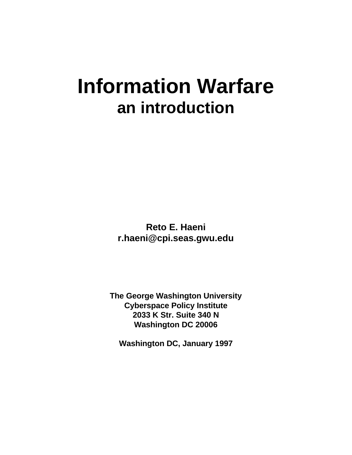# **Information Warfare an introduction**

**Reto E. Haeni r.haeni@cpi.seas.gwu.edu**

**The George Washington University Cyberspace Policy Institute 2033 K Str. Suite 340 N Washington DC 20006**

**Washington DC, January 1997**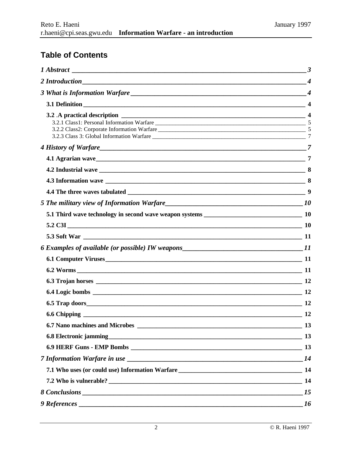# **Table of Contents**

| 4 History of Warfare 27 |                |
|-------------------------|----------------|
|                         |                |
|                         |                |
|                         |                |
|                         |                |
|                         |                |
|                         |                |
|                         |                |
|                         |                |
|                         |                |
|                         |                |
|                         |                |
|                         |                |
|                         |                |
|                         |                |
|                         | 12             |
|                         | $\frac{13}{2}$ |
|                         |                |
|                         |                |
|                         | 14             |
|                         |                |
|                         |                |
|                         |                |
|                         | 16             |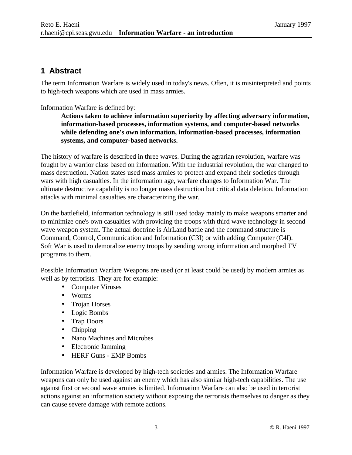## **1 Abstract**

The term Information Warfare is widely used in today's news. Often, it is misinterpreted and points to high-tech weapons which are used in mass armies.

Information Warfare is defined by:

**Actions taken to achieve information superiority by affecting adversary information, information-based processes, information systems, and computer-based networks while defending one's own information, information-based processes, information systems, and computer-based networks.**

The history of warfare is described in three waves. During the agrarian revolution, warfare was fought by a warrior class based on information. With the industrial revolution, the war changed to mass destruction. Nation states used mass armies to protect and expand their societies through wars with high casualties. In the information age, warfare changes to Information War. The ultimate destructive capability is no longer mass destruction but critical data deletion. Information attacks with minimal casualties are characterizing the war.

On the battlefield, information technology is still used today mainly to make weapons smarter and to minimize one's own casualties with providing the troops with third wave technology in second wave weapon system. The actual doctrine is AirLand battle and the command structure is Command, Control, Communication and Information (C3I) or with adding Computer (C4I). Soft War is used to demoralize enemy troops by sending wrong information and morphed TV programs to them.

Possible Information Warfare Weapons are used (or at least could be used) by modern armies as well as by terrorists. They are for example:

- Computer Viruses
- Worms
- Trojan Horses
- Logic Bombs
- Trap Doors
- Chipping
- Nano Machines and Microbes
- Electronic Jamming
- HERF Guns EMP Bombs

Information Warfare is developed by high-tech societies and armies. The Information Warfare weapons can only be used against an enemy which has also similar high-tech capabilities. The use against first or second wave armies is limited. Information Warfare can also be used in terrorist actions against an information society without exposing the terrorists themselves to danger as they can cause severe damage with remote actions.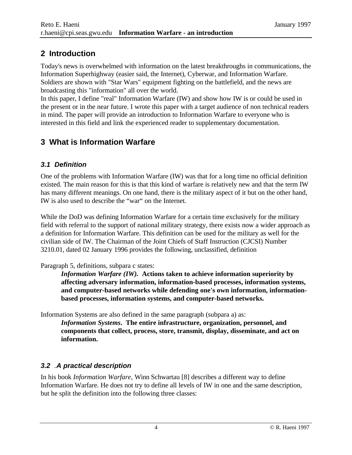# **2 Introduction**

Today's news is overwhelmed with information on the latest breakthroughs in communications, the Information Superhighway (easier said, the Internet), Cyberwar, and Information Warfare. Soldiers are shown with "Star Wars" equipment fighting on the battlefield, and the news are broadcasting this "information" all over the world.

In this paper, I define "real" Information Warfare (IW) and show how IW is or could be used in the present or in the near future. I wrote this paper with a target audience of non technical readers in mind. The paper will provide an introduction to Information Warfare to everyone who is interested in this field and link the experienced reader to supplementary documentation.

# **3 What is Information Warfare**

### *3.1 Definition*

One of the problems with Information Warfare (IW) was that for a long time no official definition existed. The main reason for this is that this kind of warfare is relatively new and that the term IW has many different meanings. On one hand, there is the military aspect of it but on the other hand, IW is also used to describe the "war" on the Internet.

While the DoD was defining Information Warfare for a certain time exclusively for the military field with referral to the support of national military strategy, there exists now a wider approach as a definition for Information Warfare. This definition can be used for the military as well for the civilian side of IW. The Chairman of the Joint Chiefs of Staff Instruction (CJCSI) Number 3210.01, dated 02 January 1996 provides the following, unclassified, definition

#### Paragraph 5, definitions, subpara c states:

*Information Warfare (IW).* **Actions taken to achieve information superiority by affecting adversary information, information-based processes, information systems, and computer-based networks while defending one's own information, informationbased processes, information systems, and computer-based networks.**

Information Systems are also defined in the same paragraph (subpara a) as:

*Information Systems***. The entire infrastructure, organization, personnel, and components that collect, process, store, transmit, display, disseminate, and act on information.**

## *3.2 .A practical description*

In his book *Information Warfare*, Winn Schwartau [8] describes a different way to define Information Warfare. He does not try to define all levels of IW in one and the same description, but he split the definition into the following three classes: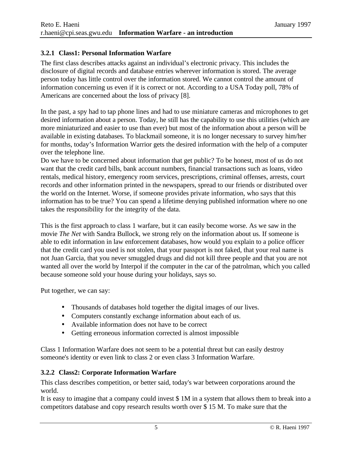#### **3.2.1 Class1: Personal Information Warfare**

The first class describes attacks against an individual's electronic privacy. This includes the disclosure of digital records and database entries wherever information is stored. The average person today has little control over the information stored. We cannot control the amount of information concerning us even if it is correct or not. According to a USA Today poll, 78% of Americans are concerned about the loss of privacy [8].

In the past, a spy had to tap phone lines and had to use miniature cameras and microphones to get desired information about a person. Today, he still has the capability to use this utilities (which are more miniaturized and easier to use than ever) but most of the information about a person will be available in existing databases. To blackmail someone, it is no longer necessary to survey him/her for months, today's Information Warrior gets the desired information with the help of a computer over the telephone line.

Do we have to be concerned about information that get public? To be honest, most of us do not want that the credit card bills, bank account numbers, financial transactions such as loans, video rentals, medical history, emergency room services, prescriptions, criminal offenses, arrests, court records and other information printed in the newspapers, spread to our friends or distributed over the world on the Internet. Worse, if someone provides private information, who says that this information has to be true? You can spend a lifetime denying published information where no one takes the responsibility for the integrity of the data.

This is the first approach to class 1 warfare, but it can easily become worse. As we saw in the movie *The Net* with Sandra Bullock, we strong rely on the information about us. If someone is able to edit information in law enforcement databases, how would you explain to a police officer that the credit card you used is not stolen, that your passport is not faked, that your real name is not Juan Garcia, that you never smuggled drugs and did not kill three people and that you are not wanted all over the world by Interpol if the computer in the car of the patrolman, which you called because someone sold your house during your holidays, says so.

Put together, we can say:

- Thousands of databases hold together the digital images of our lives.
- Computers constantly exchange information about each of us.
- Available information does not have to be correct
- Getting erroneous information corrected is almost impossible

Class 1 Information Warfare does not seem to be a potential threat but can easily destroy someone's identity or even link to class 2 or even class 3 Information Warfare.

#### **3.2.2 Class2: Corporate Information Warfare**

This class describes competition, or better said, today's war between corporations around the world.

It is easy to imagine that a company could invest \$ 1M in a system that allows them to break into a competitors database and copy research results worth over \$ 15 M. To make sure that the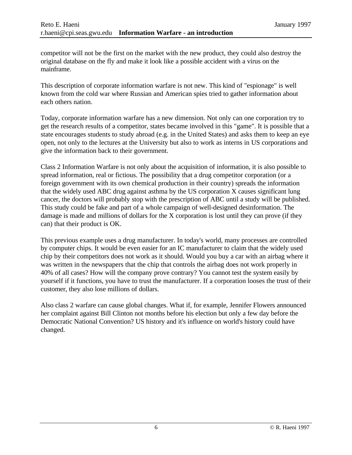competitor will not be the first on the market with the new product, they could also destroy the original database on the fly and make it look like a possible accident with a virus on the mainframe.

This description of corporate information warfare is not new. This kind of "espionage" is well known from the cold war where Russian and American spies tried to gather information about each others nation.

Today, corporate information warfare has a new dimension. Not only can one corporation try to get the research results of a competitor, states became involved in this "game". It is possible that a state encourages students to study abroad (e.g. in the United States) and asks them to keep an eye open, not only to the lectures at the University but also to work as interns in US corporations and give the information back to their government.

Class 2 Information Warfare is not only about the acquisition of information, it is also possible to spread information, real or fictious. The possibility that a drug competitor corporation (or a foreign government with its own chemical production in their country) spreads the information that the widely used ABC drug against asthma by the US corporation X causes significant lung cancer, the doctors will probably stop with the prescription of ABC until a study will be published. This study could be fake and part of a whole campaign of well-designed desinformation. The damage is made and millions of dollars for the X corporation is lost until they can prove (if they can) that their product is OK.

This previous example uses a drug manufacturer. In today's world, many processes are controlled by computer chips. It would be even easier for an IC manufacturer to claim that the widely used chip by their competitors does not work as it should. Would you buy a car with an airbag where it was written in the newspapers that the chip that controls the airbag does not work properly in 40% of all cases? How will the company prove contrary? You cannot test the system easily by yourself if it functions, you have to trust the manufacturer. If a corporation looses the trust of their customer, they also lose millions of dollars.

Also class 2 warfare can cause global changes. What if, for example, Jennifer Flowers announced her complaint against Bill Clinton not months before his election but only a few day before the Democratic National Convention? US history and it's influence on world's history could have changed.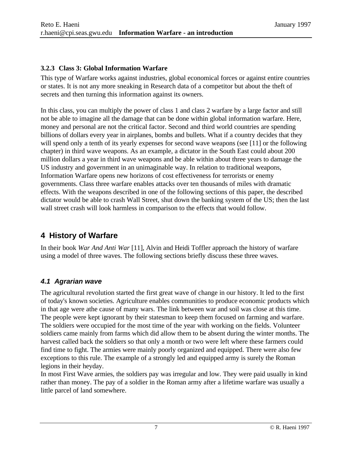#### **3.2.3 Class 3: Global Information Warfare**

This type of Warfare works against industries, global economical forces or against entire countries or states. It is not any more sneaking in Research data of a competitor but about the theft of secrets and then turning this information against its owners.

In this class, you can multiply the power of class 1 and class 2 warfare by a large factor and still not be able to imagine all the damage that can be done within global information warfare. Here, money and personal are not the critical factor. Second and third world countries are spending billions of dollars every year in airplanes, bombs and bullets. What if a country decides that they will spend only a tenth of its yearly expenses for second wave weapons (see [11] or the following chapter) in third wave weapons. As an example, a dictator in the South East could about 200 million dollars a year in third wave weapons and be able within about three years to damage the US industry and government in an unimaginable way. In relation to traditional weapons, Information Warfare opens new horizons of cost effectiveness for terrorists or enemy governments. Class three warfare enables attacks over ten thousands of miles with dramatic effects. With the weapons described in one of the following sections of this paper, the described dictator would be able to crash Wall Street, shut down the banking system of the US; then the last wall street crash will look harmless in comparison to the effects that would follow.

# **4 History of Warfare**

In their book *War And Anti War* [11], Alvin and Heidi Toffler approach the history of warfare using a model of three waves. The following sections briefly discuss these three waves.

## *4.1 Agrarian wave*

The agricultural revolution started the first great wave of change in our history. It led to the first of today's known societies. Agriculture enables communities to produce economic products which in that age were athe cause of many wars. The link between war and soil was close at this time. The people were kept ignorant by their statesman to keep them focused on farming and warfare. The soldiers were occupied for the most time of the year with working on the fields. Volunteer soldiers came mainly from farms which did allow them to be absent during the winter months. The harvest called back the soldiers so that only a month or two were left where these farmers could find time to fight. The armies were mainly poorly organized and equipped. There were also few exceptions to this rule. The example of a strongly led and equipped army is surely the Roman legions in their heyday.

In most First Wave armies, the soldiers pay was irregular and low. They were paid usually in kind rather than money. The pay of a soldier in the Roman army after a lifetime warfare was usually a little parcel of land somewhere.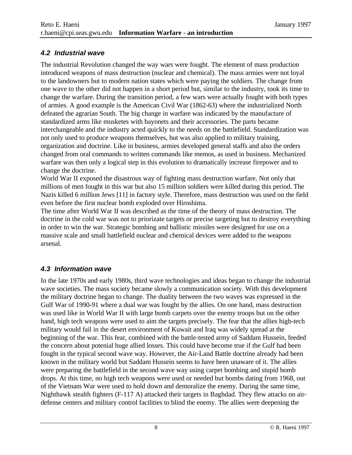#### *4.2 Industrial wave*

The industrial Revolution changed the way wars were fought. The element of mass production introduced weapons of mass destruction (nuclear and chemical). The mass armies were not loyal to the landowners but to modern nation states which were paying the soldiers. The change from one wave to the other did not happen in a short period but, similar to the industry, took its time to change the warfare. During the transition period, a few wars were actually fought with both types of armies. A good example is the American Civil War (1862-63) where the industrialized North defeated the agrarian South. The big change in warfare was indicated by the manufacture of standardized arms like musketes with bayonets and their accessories. The parts became interchangeable and the industry acted quickly to the needs on the battlefield. Standardization was not only used to produce weapons themselves, but was also applied to military training, organization and doctrine. Like in business, armies developed general staffs and also the orders changed from oral commands to written commands like memos, as used in business. Mechanized warfare was then only a logical step in this evolution to dramatically increase firepower and to change the doctrine.

World War II exposed the disastrous way of fighting mass destruction warfare. Not only that millions of men fought in this war but also 15 million soldiers were killed during this period. The Nazis killed 6 million Jews [11] in factory style. Therefore, mass destruction was used on the field even before the first nuclear bomb exploded over Hiroshima.

The time after World War II was described as the time of the theory of mass destruction. The doctrine in the cold war was not to priorizate targets or precise targeting but to destroy everything in order to win the war. Strategic bombing and ballistic missiles were designed for use on a massive scale and small battlefield nuclear and chemical devices were added to the weapons arsenal.

#### *4.3 Information wave*

In the late 1970s and early 1980s, third wave technologies and ideas began to change the industrial wave societies. The mass society became slowly a communication society. With this development the military doctrine began to change. The duality between the two waves was expressed in the Gulf War of 1990-91 where a dual war was fought by the allies. On one hand, mass destruction was used like in World War II with large bomb carpets over the enemy troops but on the other hand, high tech weapons were used to aim the targets precisely. The fear that the allies high-tech military would fail in the desert environment of Kuwait and Iraq was widely spread at the beginning of the war. This fear, combined with the battle-tested army of Saddam Hussein, feeded the concern about potenial huge allied losses. This could have become true if the Gulf had been fought in the typical second wave way. However, the Air-Land Battle doctrine already had been known in the military world but Saddam Hussein seems to have been unaware of it. The allies were preparing the battlefield in the second wave way using carpet bombing and stupid bomb drops. At this time, no high tech weapons were used or needed but bombs dating from 1968, out of the Vietnam War were used to hold down and demoralize the enemy. During the same time, Nighthawk stealth fighters (F-117 A) attacked their targets in Baghdad. They flew attacks on airdefense centers and military control facilities to blind the enemy. The allies were deepening the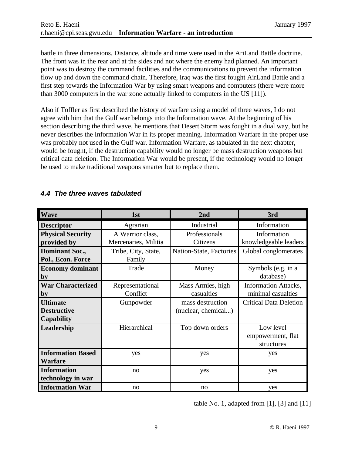battle in three dimensions. Distance, altitude and time were used in the AriLand Battle doctrine. The front was in the rear and at the sides and not where the enemy had planned. An important point was to destroy the command facilities and the communications to prevent the information flow up and down the command chain. Therefore, Iraq was the first fought AirLand Battle and a first step towards the Information War by using smart weapons and computers (there were more than 3000 computers in the war zone actually linked to computers in the US [11]).

Also if Toffler as first described the history of warfare using a model of three waves, I do not agree with him that the Gulf war belongs into the Information wave. At the beginning of his section describing the third wave, he mentions that Desert Storm was fought in a dual way, but he never describes the Information War in its proper meaning. Information Warfare in the proper use was probably not used in the Gulf war. Information Warfare, as tabulated in the next chapter, would be fought, if the destruction capability would no longer be mass destruction weapons but critical data deletion. The Information War would be present, if the technology would no longer be used to make traditional weapons smarter but to replace them.

| <b>Wave</b>              | 1st                  | 2nd                     | 3rd                           |
|--------------------------|----------------------|-------------------------|-------------------------------|
| <b>Descriptor</b>        | Agrarian             | Industrial              | Information                   |
| <b>Physical Security</b> | A Warrior class,     | Professionals           | Information                   |
| provided by              | Mercenaries, Militia | Citizens                | knowledgeable leaders         |
| <b>Dominant Soc.,</b>    | Tribe, City, State,  | Nation-State, Factories | Global conglomerates          |
| Pol., Econ. Force        | Family               |                         |                               |
| <b>Economy dominant</b>  | Trade                | Money                   | Symbols (e.g. in a            |
| by                       |                      |                         | database)                     |
| <b>War Characterized</b> | Representational     | Mass Armies, high       | <b>Information Attacks,</b>   |
| by                       | Conflict             | casualties              | minimal casualties            |
| <b>Ultimate</b>          | Gunpowder            | mass destruction        | <b>Critical Data Deletion</b> |
| <b>Destructive</b>       |                      | (nuclear, chemical)     |                               |
| Capability               |                      |                         |                               |
| Leadership               | Hierarchical         | Top down orders         | Low level                     |
|                          |                      |                         | empowerment, flat             |
|                          |                      |                         | structures                    |
| <b>Information Based</b> | yes                  | yes                     | yes                           |
| <b>Warfare</b>           |                      |                         |                               |
| <b>Information</b>       | no                   | yes                     | yes                           |
| technology in war        |                      |                         |                               |
| <b>Information War</b>   | no                   | no                      | yes                           |

#### *4.4 The three waves tabulated*

table No. 1, adapted from  $[1]$ ,  $[3]$  and  $[11]$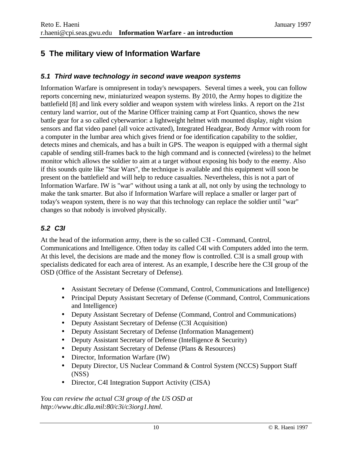# **5 The military view of Information Warfare**

#### *5.1 Third wave technology in second wave weapon systems*

Information Warfare is omnipresent in today's newspapers. Several times a week, you can follow reports concerning new, miniaturized weapon systems. By 2010, the Army hopes to digitize the battlefield [8] and link every soldier and weapon system with wireless links. A report on the 21st century land warrior, out of the Marine Officer training camp at Fort Quantico, shows the new battle gear for a so called cyberwarrior: a lightweight helmet with mounted display, night vision sensors and flat video panel (all voice activated), Integrated Headgear, Body Armor with room for a computer in the lumbar area which gives friend or foe identification capability to the soldier, detects mines and chemicals, and has a built in GPS. The weapon is equipped with a thermal sight capable of sending still-frames back to the high command and is connected (wireless) to the helmet monitor which allows the soldier to aim at a target without exposing his body to the enemy. Also if this sounds quite like "Star Wars", the technique is available and this equipment will soon be present on the battlefield and will help to reduce casualties. Nevertheless, this is not a part of Information Warfare. IW is "war" without using a tank at all, not only by using the technology to make the tank smarter. But also if Information Warfare will replace a smaller or larger part of today's weapon system, there is no way that this technology can replace the soldier until "war" changes so that nobody is involved physically.

#### *5.2 C3I*

At the head of the information army, there is the so called C3I - Command, Control, Communications and Intelligence. Often today its called C4I with Computers added into the term. At this level, the decisions are made and the money flow is controlled. C3I is a small group with specialists dedicated for each area of interest. As an example, I describe here the C3I group of the OSD (Office of the Assistant Secretary of Defense).

- Assistant Secretary of Defense (Command, Control, Communications and Intelligence)
- Principal Deputy Assistant Secretary of Defense (Command, Control, Communications and Intelligence)
- Deputy Assistant Secretary of Defense (Command, Control and Communications)
- Deputy Assistant Secretary of Defense (C3I Acquisition)
- Deputy Assistant Secretary of Defense (Information Management)
- Deputy Assistant Secretary of Defense (Intelligence & Security)
- Deputy Assistant Secretary of Defense (Plans & Resources)
- Director, Information Warfare (IW)
- Deputy Director, US Nuclear Command & Control System (NCCS) Support Staff (NSS)
- Director, C4I Integration Support Activity (CISA)

*You can review the actual C3I group of the US OSD at http://www.dtic.dla.mil:80/c3i/c3iorg1.html.*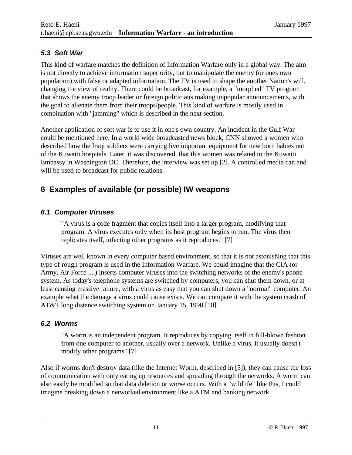#### *5.3 Soft War*

This kind of warfare matches the definition of Information Warfare only in a global way. The aim is not directly to achieve information superiority, but to manipulate the enemy (or ones own population) with false or adapted information. The TV is used to shape the another Nation's will, changing the view of reality. There could be broadcast, for example, a "morphed" TV program that shows the enemy troop leader or foreign politicians making unpopular announcements, with the goal to alienate them from their troops/people. This kind of warfare is mostly used in combination with "jamming" which is described in the next section.

Another application of soft war is to use it in one's own country. An incident in the Gulf War could be mentioned here. In a world wide broadcasted news block, CNN showed a women who described how the Iraqi soldiers were carrying live important equipment for new born babies out of the Kuwaiti hospitals. Later, it was discovered, that this women was related to the Kuwaiti Embassy in Washington DC. Therefore, the interview was set up [2]. A controlled media can and will be used to broadcast for public relations.

# **6 Examples of available (or possible) IW weapons**

#### *6.1 Computer Viruses*

"A virus is a code fragment that copies itself into a larger program, modifying that program. A virus executes only when its host program begins to run. The virus then replicates itself, infecting other programs as it reproduces." [7]

Viruses are well known in every computer based environment, so that it is not astonishing that this type of rough program is used in the Information Warfare. We could imagine that the CIA (or Army, Air Force ....) inserts computer viruses into the switching networks of the enemy's phone system. As today's telephone systems are switched by computers, you can shut them down, or at least causing massive failure, with a virus as easy that you can shut down a "normal" computer. An example what the damage a virus could cause exists. We can compare it with the system crash of AT&T long distance switching system on January 15, 1990 [10].

#### *6.2 Worms*

"A worm is an independent program. It reproduces by copying itself in full-blown fashion from one computer to another, usually over a network. Unlike a virus, it usually doesn't modify other programs."[7]

Also if worms don't destroy data (like the Internet Worm, described in [5]), they can cause the loss of communication with only eating up resources and spreading through the networks. A worm can also easily be modified so that data deletion or worse occurs. With a "wildlife" like this, I could imagine breaking down a networked environment like a ATM and banking network.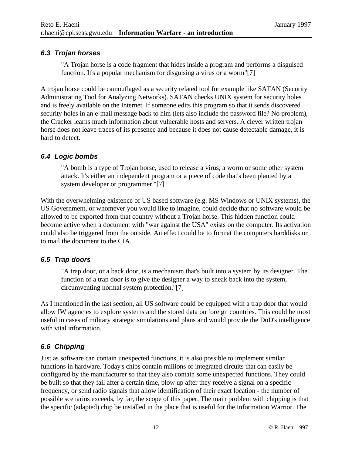#### *6.3 Trojan horses*

"A Trojan horse is a code fragment that hides inside a program and performs a disguised function. It's a popular mechanism for disguising a virus or a worm"[7]

A trojan horse could be camouflaged as a security related tool for example like SATAN (Security Administrating Tool for Analyzing Networks). SATAN checks UNIX system for security holes and is freely available on the Internet. If someone edits this program so that it sends discovered security holes in an e-mail message back to him (lets also include the password file? No problem), the Cracker learns much information about vulnerable hosts and servers. A clever written trojan horse does not leave traces of its presence and because it does not cause detectable damage, it is hard to detect.

#### *6.4 Logic bombs*

"A bomb is a type of Trojan horse, used to release a virus, a worm or some other system attack. It's either an independent program or a piece of code that's been planted by a system developer or programmer."[7]

With the overwhelming existence of US based software (e.g. MS Windows or UNIX systems), the US Government, or whomever you would like to imagine, could decide that no software would be allowed to be exported from that country without a Trojan horse. This hidden function could become active when a document with "war against the USA" exists on the computer. Its activation could also be triggered from the outside. An effect could be to format the computers harddisks or to mail the document to the CIA.

#### *6.5 Trap doors*

"A trap door, or a back door, is a mechanism that's built into a system by its designer. The function of a trap door is to give the designer a way to sneak back into the system, circumventing normal system protection."[7]

As I mentioned in the last section, all US software could be equipped with a trap door that would allow IW agencies to explore systems and the stored data on foreign countries. This could be most useful in cases of military strategic simulations and plans and would provide the DoD's intelligence with vital information.

#### *6.6 Chipping*

Just as software can contain unexpected functions, it is also possible to implement similar functions in hardware. Today's chips contain millions of integrated circuits that can easily be configured by the manufacturer so that they also contain some unexpected functions. They could be built so that they fail after a certain time, blow up after they receive a signal on a specific frequency, or send radio signals that allow identification of their exact location - the number of possible scenarios exceeds, by far, the scope of this paper. The main problem with chipping is that the specific (adapted) chip be installed in the place that is useful for the Information Warrior. The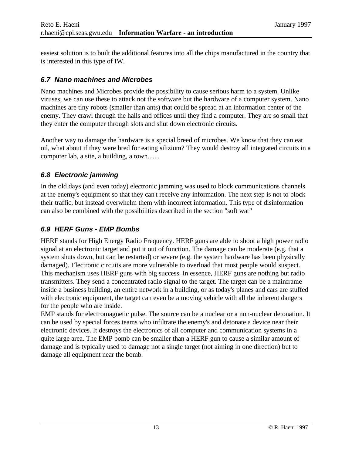easiest solution is to built the additional features into all the chips manufactured in the country that is interested in this type of IW.

#### *6.7 Nano machines and Microbes*

Nano machines and Microbes provide the possibility to cause serious harm to a system. Unlike viruses, we can use these to attack not the software but the hardware of a computer system. Nano machines are tiny robots (smaller than ants) that could be spread at an information center of the enemy. They crawl through the halls and offices until they find a computer. They are so small that they enter the computer through slots and shut down electronic circuits.

Another way to damage the hardware is a special breed of microbes. We know that they can eat oil, what about if they were bred for eating silizium? They would destroy all integrated circuits in a computer lab, a site, a building, a town.......

#### *6.8 Electronic jamming*

In the old days (and even today) electronic jamming was used to block communications channels at the enemy's equipment so that they can't receive any information. The next step is not to block their traffic, but instead overwhelm them with incorrect information. This type of disinformation can also be combined with the possibilities described in the section "soft war"

#### *6.9 HERF Guns - EMP Bombs*

HERF stands for High Energy Radio Frequency. HERF guns are able to shoot a high power radio signal at an electronic target and put it out of function. The damage can be moderate (e.g. that a system shuts down, but can be restarted) or severe (e.g. the system hardware has been physically damaged). Electronic circuits are more vulnerable to overload that most people would suspect. This mechanism uses HERF guns with big success. In essence, HERF guns are nothing but radio transmitters. They send a concentrated radio signal to the target. The target can be a mainframe inside a business building, an entire network in a building, or as today's planes and cars are stuffed with electronic equipment, the target can even be a moving vehicle with all the inherent dangers for the people who are inside.

EMP stands for electromagnetic pulse. The source can be a nuclear or a non-nuclear detonation. It can be used by special forces teams who infiltrate the enemy's and detonate a device near their electronic devices. It destroys the electronics of all computer and communication systems in a quite large area. The EMP bomb can be smaller than a HERF gun to cause a similar amount of damage and is typically used to damage not a single target (not aiming in one direction) but to damage all equipment near the bomb.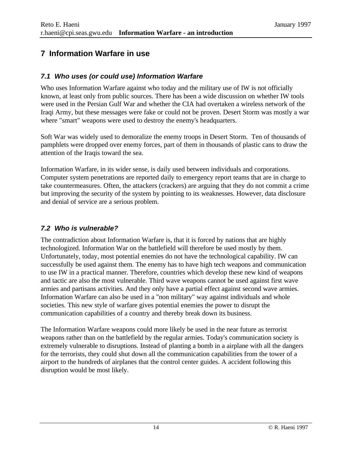## **7 Information Warfare in use**

#### *7.1 Who uses (or could use) Information Warfare*

Who uses Information Warfare against who today and the military use of IW is not officially known, at least only from public sources. There has been a wide discussion on whether IW tools were used in the Persian Gulf War and whether the CIA had overtaken a wireless network of the Iraqi Army, but these messages were fake or could not be proven. Desert Storm was mostly a war where "smart" weapons were used to destroy the enemy's headquarters.

Soft War was widely used to demoralize the enemy troops in Desert Storm. Ten of thousands of pamphlets were dropped over enemy forces, part of them in thousands of plastic cans to draw the attention of the Iraqis toward the sea.

Information Warfare, in its wider sense, is daily used between individuals and corporations. Computer system penetrations are reported daily to emergency report teams that are in charge to take countermeasures. Often, the attackers (crackers) are arguing that they do not commit a crime but improving the security of the system by pointing to its weaknesses. However, data disclosure and denial of service are a serious problem.

#### *7.2 Who is vulnerable?*

The contradiction about Information Warfare is, that it is forced by nations that are highly technologized. Information War on the battlefield will therefore be used mostly by them. Unfortunately, today, most potential enemies do not have the technological capability. IW can successfully be used against them. The enemy has to have high tech weapons and communication to use IW in a practical manner. Therefore, countries which develop these new kind of weapons and tactic are also the most vulnerable. Third wave weapons cannot be used against first wave armies and partisans activities. And they only have a partial effect against second wave armies. Information Warfare can also be used in a "non military" way against individuals and whole societies. This new style of warfare gives potential enemies the power to disrupt the communication capabilities of a country and thereby break down its business.

The Information Warfare weapons could more likely be used in the near future as terrorist weapons rather than on the battlefield by the regular armies. Today's communication society is extremely vulnerable to disruptions. Instead of planting a bomb in a airplane with all the dangers for the terrorists, they could shut down all the communication capabilities from the tower of a airport to the hundreds of airplanes that the control center guides. A accident following this disruption would be most likely.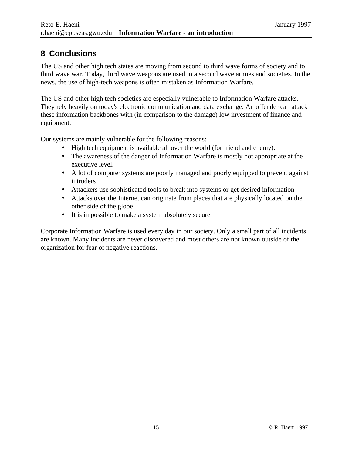# **8 Conclusions**

The US and other high tech states are moving from second to third wave forms of society and to third wave war. Today, third wave weapons are used in a second wave armies and societies. In the news, the use of high-tech weapons is often mistaken as Information Warfare.

The US and other high tech societies are especially vulnerable to Information Warfare attacks. They rely heavily on today's electronic communication and data exchange. An offender can attack these information backbones with (in comparison to the damage) low investment of finance and equipment.

Our systems are mainly vulnerable for the following reasons:

- High tech equipment is available all over the world (for friend and enemy).
- The awareness of the danger of Information Warfare is mostly not appropriate at the executive level.
- A lot of computer systems are poorly managed and poorly equipped to prevent against intruders
- Attackers use sophisticated tools to break into systems or get desired information
- Attacks over the Internet can originate from places that are physically located on the other side of the globe.
- It is impossible to make a system absolutely secure

Corporate Information Warfare is used every day in our society. Only a small part of all incidents are known. Many incidents are never discovered and most others are not known outside of the organization for fear of negative reactions.